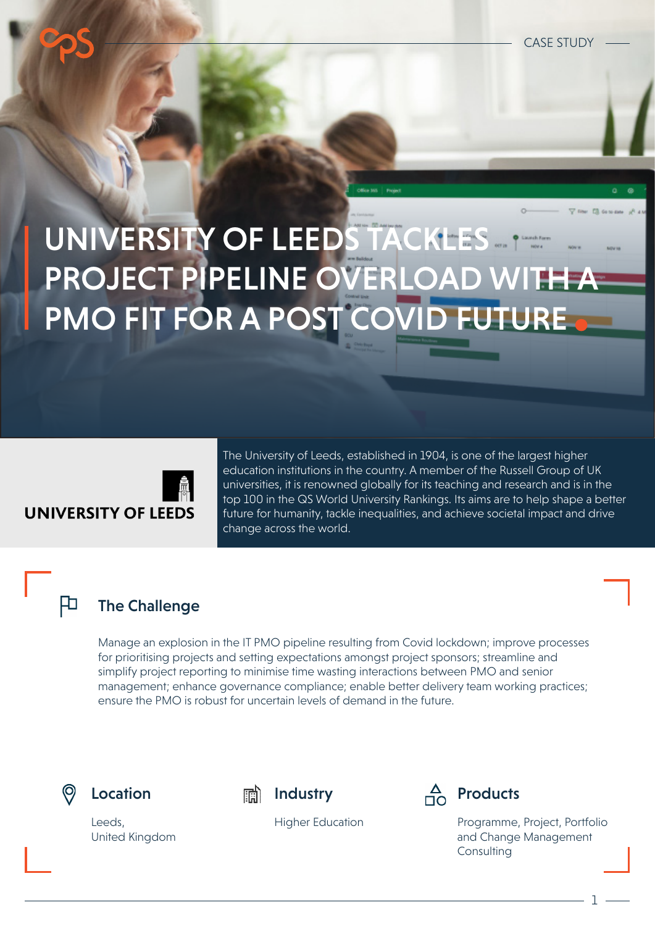# UNIVERSITY OF LEEDS TACKLES PROJECT PIPELINE OVERLOAD WITH A PMO FIT FOR A POST COVID FUTURE



The University of Leeds, established in 1904, is one of the largest higher education institutions in the country. A member of the Russell Group of UK universities, it is renowned globally for its teaching and research and is in the top 100 in the QS World University Rankings. Its aims are to help shape a better future for humanity, tackle inequalities, and achieve societal impact and drive change across the world.

#### The Challenge

Manage an explosion in the IT PMO pipeline resulting from Covid lockdown; improve processes for prioritising projects and setting expectations amongst project sponsors; streamline and simplify project reporting to minimise time wasting interactions between PMO and senior management; enhance governance compliance; enable better delivery team working practices; ensure the PMO is robust for uncertain levels of demand in the future.



扣







Higher Education Programme, Project, Portfolio and Change Management **Consulting** 

1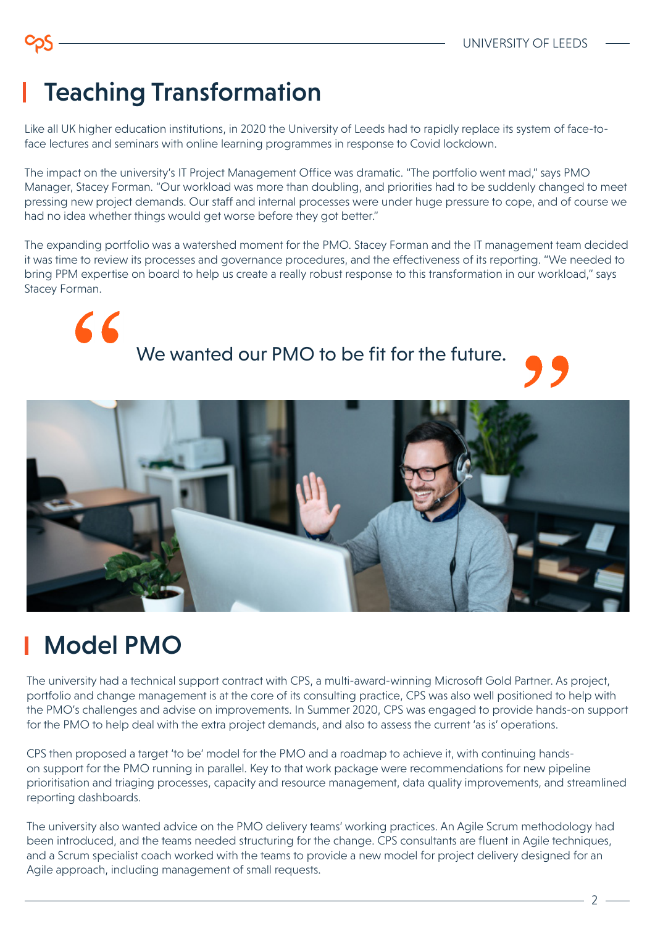## Teaching Transformation

Like all UK higher education institutions, in 2020 the University of Leeds had to rapidly replace its system of face-toface lectures and seminars with online learning programmes in response to Covid lockdown.

The impact on the university's IT Project Management Office was dramatic. "The portfolio went mad," says PMO Manager, Stacey Forman. "Our workload was more than doubling, and priorities had to be suddenly changed to meet pressing new project demands. Our staff and internal processes were under huge pressure to cope, and of course we had no idea whether things would get worse before they got better."

The expanding portfolio was a watershed moment for the PMO. Stacey Forman and the IT management team decided it was time to review its processes and governance procedures, and the effectiveness of its reporting. "We needed to bring PPM expertise on board to help us create a really robust response to this transformation in our workload," says Stacey Forman.



We wanted our PMO to be fit for the future.



## Model PMO

The university had a technical support contract with CPS, a multi-award-winning Microsoft Gold Partner. As project, portfolio and change management is at the core of its consulting practice, CPS was also well positioned to help with the PMO's challenges and advise on improvements. In Summer 2020, CPS was engaged to provide hands-on support for the PMO to help deal with the extra project demands, and also to assess the current 'as is' operations.

CPS then proposed a target 'to be' model for the PMO and a roadmap to achieve it, with continuing handson support for the PMO running in parallel. Key to that work package were recommendations for new pipeline prioritisation and triaging processes, capacity and resource management, data quality improvements, and streamlined reporting dashboards.

The university also wanted advice on the PMO delivery teams' working practices. An Agile Scrum methodology had been introduced, and the teams needed structuring for the change. CPS consultants are fluent in Agile techniques, and a Scrum specialist coach worked with the teams to provide a new model for project delivery designed for an Agile approach, including management of small requests.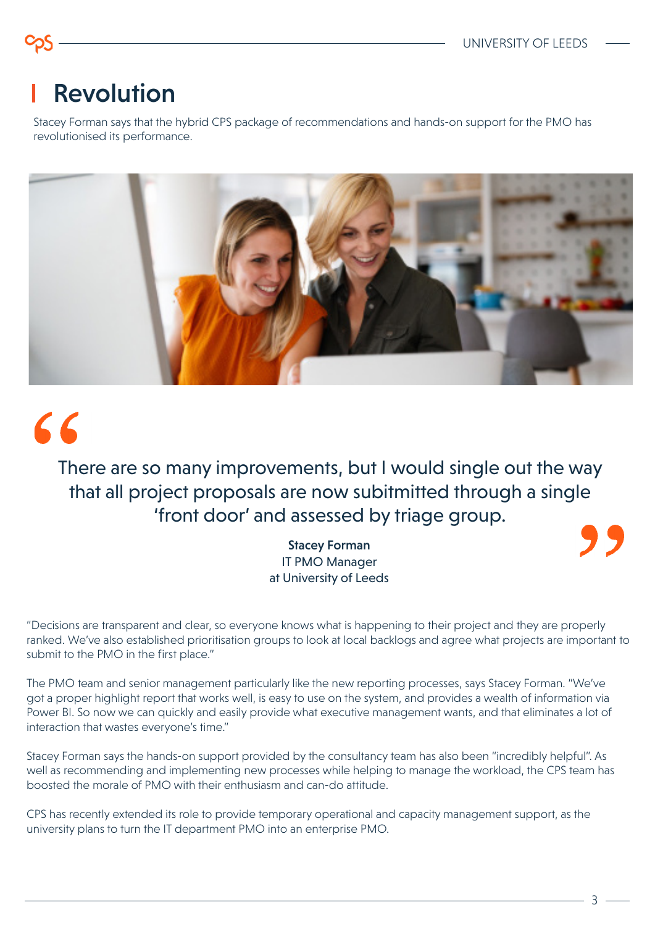### Revolution

Stacey Forman says that the hybrid CPS package of recommendations and hands-on support for the PMO has revolutionised its performance.



# 66

#### There are so many improvements, but I would single out the way that all project proposals are now subitmitted through a single 'front door' and assessed by triage group.

Stacey Forman IT PMO Manager at University of Leeds

"Decisions are transparent and clear, so everyone knows what is happening to their project and they are properly ranked. We've also established prioritisation groups to look at local backlogs and agree what projects are important to submit to the PMO in the first place."

The PMO team and senior management particularly like the new reporting processes, says Stacey Forman. "We've got a proper highlight report that works well, is easy to use on the system, and provides a wealth of information via Power BI. So now we can quickly and easily provide what executive management wants, and that eliminates a lot of interaction that wastes everyone's time."

Stacey Forman says the hands-on support provided by the consultancy team has also been "incredibly helpful". As well as recommending and implementing new processes while helping to manage the workload, the CPS team has boosted the morale of PMO with their enthusiasm and can-do attitude.

CPS has recently extended its role to provide temporary operational and capacity management support, as the university plans to turn the IT department PMO into an enterprise PMO.

3